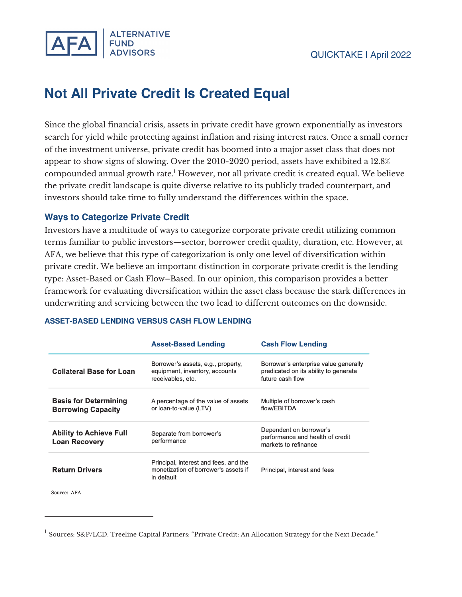

# **Not All Private Credit Is Created Equal**

Since the global financial crisis, assets in private credit have grown exponentially as investors search for yield while protecting against inflation and rising interest rates. Once a small corner of the investment universe, private credit has boomed into a major asset class that does not appear to show signs of slowing. Over the 2010-2020 period, assets have exhibited a 12.8% compounded annual growth rate.<sup>1</sup> However, not all private credit is created equal. We believe the private credit landscape is quite diverse relative to its publicly traded counterpart, and investors should take time to fully understand the differences within the space.

## **Ways to Categorize Private Credit**

Investors have a multitude of ways to categorize corporate private credit utilizing common terms familiar to public investors—sector, borrower credit quality, duration, etc. However, at AFA, we believe that this type of categorization is only one level of diversification within private credit. We believe an important distinction in corporate private credit is the lending type: Asset-Based or Cash Flow–Based. In our opinion, this comparison provides a better framework for evaluating diversification within the asset class because the stark differences in underwriting and servicing between the two lead to different outcomes on the downside.

|                                                           | <b>Asset-Based Lending</b>                                                                                                     | <b>Cash Flow Lending</b>                                                                           |  |
|-----------------------------------------------------------|--------------------------------------------------------------------------------------------------------------------------------|----------------------------------------------------------------------------------------------------|--|
| <b>Collateral Base for Loan</b>                           | Borrower's assets, e.g., property,<br>equipment, inventory, accounts<br>receivables, etc.                                      | Borrower's enterprise value generally<br>predicated on its ability to generate<br>future cash flow |  |
| <b>Basis for Determining</b><br><b>Borrowing Capacity</b> | A percentage of the value of assets<br>or loan-to-value (LTV)                                                                  | Multiple of borrower's cash<br>flow/EBITDA                                                         |  |
| <b>Ability to Achieve Full</b><br><b>Loan Recovery</b>    | Dependent on borrower's<br>Separate from borrower's<br>performance and health of credit<br>performance<br>markets to refinance |                                                                                                    |  |
| <b>Return Drivers</b>                                     | Principal, interest and fees, and the<br>monetization of borrower's assets if<br>in default                                    | Principal, interest and fees                                                                       |  |

#### **ASSET-BASED LENDING VERSUS CASH FLOW LENDING**

Source: AFA

<sup>&</sup>lt;sup>1</sup> Sources: S&P/LCD. Treeline Capital Partners: "Private Credit: An Allocation Strategy for the Next Decade."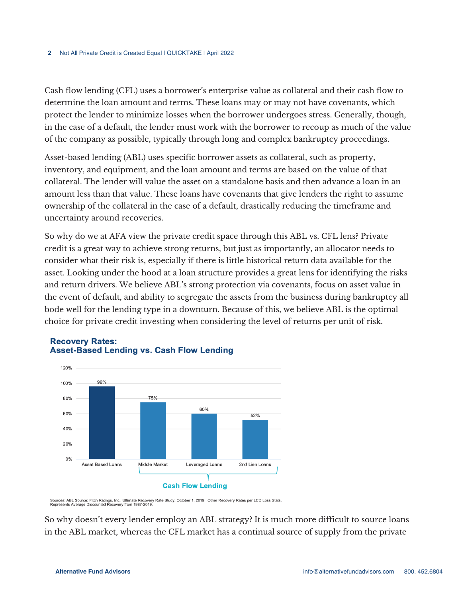Cash flow lending (CFL) uses a borrower's enterprise value as collateral and their cash flow to determine the loan amount and terms. These loans may or may not have covenants, which protect the lender to minimize losses when the borrower undergoes stress. Generally, though, in the case of a default, the lender must work with the borrower to recoup as much of the value of the company as possible, typically through long and complex bankruptcy proceedings.

Asset-based lending (ABL) uses specific borrower assets as collateral, such as property, inventory, and equipment, and the loan amount and terms are based on the value of that collateral. The lender will value the asset on a standalone basis and then advance a loan in an amount less than that value. These loans have covenants that give lenders the right to assume ownership of the collateral in the case of a default, drastically reducing the timeframe and uncertainty around recoveries.

So why do we at AFA view the private credit space through this ABL vs. CFL lens? Private credit is a great way to achieve strong returns, but just as importantly, an allocator needs to consider what their risk is, especially if there is little historical return data available for the asset. Looking under the hood at a loan structure provides a great lens for identifying the risks and return drivers. We believe ABL's strong protection via covenants, focus on asset value in the event of default, and ability to segregate the assets from the business during bankruptcy all bode well for the lending type in a downturn. Because of this, we believe ABL is the optimal choice for private credit investing when considering the level of returns per unit of risk.



## **Recovery Rates: Asset-Based Lending vs. Cash Flow Lending**

Sources: ABL Source: Fitch Ratings, Inc., Ultimate Recovery Rate Study, October 1, 2019. Other Recovery Rates per LCD Loss Stats.<br>Represents Average Discounted Recovery from 1987-2019.

So why doesn't every lender employ an ABL strategy? It is much more difficult to source loans in the ABL market, whereas the CFL market has a continual source of supply from the private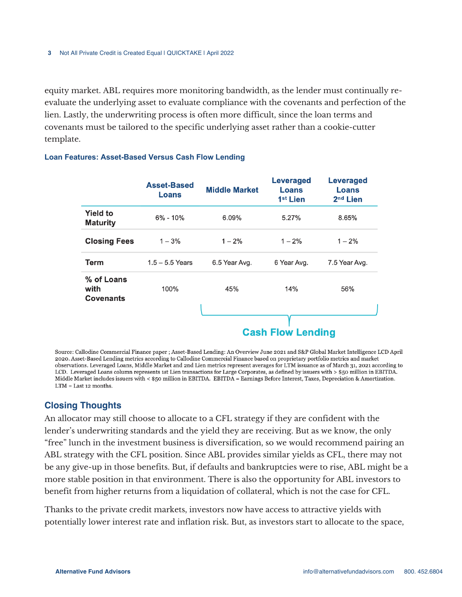equity market. ABL requires more monitoring bandwidth, as the lender must continually reevaluate the underlying asset to evaluate compliance with the covenants and perfection of the lien. Lastly, the underwriting process is often more difficult, since the loan terms and covenants must be tailored to the specific underlying asset rather than a cookie-cutter template.

|                                        | <b>Asset-Based</b><br>Loans | <b>Middle Market</b> | <b>Leveraged</b><br>Loans<br>1 <sup>st</sup> Lien | <b>Leveraged</b><br>Loans<br>2 <sup>nd</sup> Lien |
|----------------------------------------|-----------------------------|----------------------|---------------------------------------------------|---------------------------------------------------|
| <b>Yield to</b><br><b>Maturity</b>     | $6\% - 10\%$                | 6.09%                | 5.27%                                             | 8.65%                                             |
| <b>Closing Fees</b>                    | $1 - 3%$                    | $1 - 2%$             | $1 - 2%$                                          | $1 - 2%$                                          |
| Term                                   | $1.5 - 5.5$ Years           | 6.5 Year Avg.        | 6 Year Avg.                                       | 7.5 Year Avg.                                     |
| % of Loans<br>with<br><b>Covenants</b> | 100%                        | 45%                  | 14%                                               | 56%                                               |
|                                        |                             |                      | <b>Cash Flow Lending</b>                          |                                                   |

#### **Loan Features: Asset-Based Versus Cash Flow Lending**

Source: Callodine Commercial Finance paper ; Asset-Based Lending: An Overview June 2021 and S&P Global Market Intelligence LCD April 2020. Asset-Based Lending metrics according to Callodine Commercial Finance based on proprietary portfolio metrics and market observations. Leveraged Loans, Middle Market and 2nd Lien metrics represent averages for LTM issuance as of March 31, 2021 according to LCD. Leveraged Loans column represents 1st Lien transactions for Large Corporates, as defined by issuers with > \$50 million in EBITDA. Middle Market includes issuers with < \$50 million in EBITDA. EBITDA = Earnings Before Interest, Taxes, Depreciation & Amortization.  $LTM = Last 12 months.$ 

### **Closing Thoughts**

An allocator may still choose to allocate to a CFL strategy if they are confident with the lender's underwriting standards and the yield they are receiving. But as we know, the only "free" lunch in the investment business is diversification, so we would recommend pairing an ABL strategy with the CFL position. Since ABL provides similar yields as CFL, there may not be any give-up in those benefits. But, if defaults and bankruptcies were to rise, ABL might be a more stable position in that environment. There is also the opportunity for ABL investors to benefit from higher returns from a liquidation of collateral, which is not the case for CFL.

Thanks to the private credit markets, investors now have access to attractive yields with potentially lower interest rate and inflation risk. But, as investors start to allocate to the space,